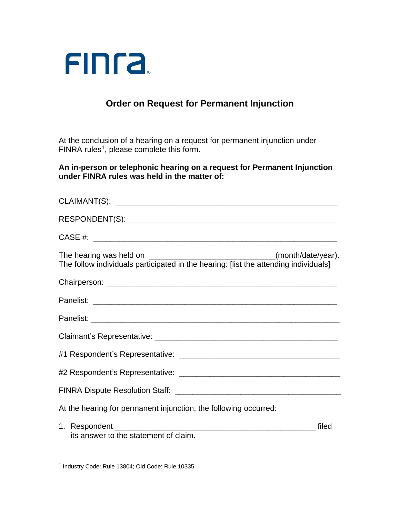

## **Order on Request for Permanent Injunction**

At the conclusion of a hearing on a request for permanent injunction under FINRA rules<sup>[1](#page-0-0)</sup>, please complete this form.

**An in-person or telephonic hearing on a request for Permanent Injunction under FINRA rules was held in the matter of:**

| The hearing was held on __________________________________(month/date/year).<br>The follow individuals participated in the hearing: [list the attending individuals] |
|----------------------------------------------------------------------------------------------------------------------------------------------------------------------|
|                                                                                                                                                                      |
|                                                                                                                                                                      |
|                                                                                                                                                                      |
|                                                                                                                                                                      |
|                                                                                                                                                                      |
|                                                                                                                                                                      |
|                                                                                                                                                                      |
| At the hearing for permanent injunction, the following occurred:                                                                                                     |
| its answer to the statement of claim.                                                                                                                                |

<span id="page-0-0"></span><sup>1</sup> Industry Code: Rule 13804; Old Code: Rule 10335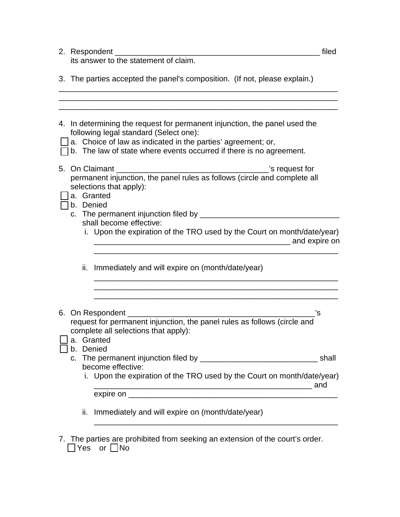| 2. Respondent | пе |
|---------------|----|
|               |    |

its answer to the statement of claim.

\_\_\_\_\_\_\_\_\_\_\_\_\_\_\_\_\_\_\_\_\_\_\_\_\_\_\_\_\_\_\_\_\_\_\_\_\_\_\_\_\_\_\_\_\_\_\_\_\_\_\_\_\_\_\_\_\_\_\_\_\_\_\_\_ \_\_\_\_\_\_\_\_\_\_\_\_\_\_\_\_\_\_\_\_\_\_\_\_\_\_\_\_\_\_\_\_\_\_\_\_\_\_\_\_\_\_\_\_\_\_\_\_\_\_\_\_\_\_\_\_\_\_\_\_\_\_\_\_

|  |     | 4. In determining the request for permanent injunction, the panel used the<br>following legal standard (Select one):<br>a. Choice of law as indicated in the parties' agreement; or,<br>b. The law of state where events occurred if there is no agreement. |       |
|--|-----|-------------------------------------------------------------------------------------------------------------------------------------------------------------------------------------------------------------------------------------------------------------|-------|
|  |     | s request for<br>5. On Claimant                                                                                                                                                                                                                             |       |
|  |     | permanent injunction, the panel rules as follows (circle and complete all                                                                                                                                                                                   |       |
|  |     | selections that apply):                                                                                                                                                                                                                                     |       |
|  |     | a. Granted                                                                                                                                                                                                                                                  |       |
|  |     | b. Denied                                                                                                                                                                                                                                                   |       |
|  |     | shall become effective:                                                                                                                                                                                                                                     |       |
|  |     | i. Upon the expiration of the TRO used by the Court on month/date/year)<br>and expire on and the same state of the same state of the same state of the same state of the same state of the                                                                  |       |
|  | ii. | Immediately and will expire on (month/date/year)                                                                                                                                                                                                            |       |
|  |     | 6. On Respondent <b>Constant Constant Constant Constant</b>                                                                                                                                                                                                 | 's    |
|  |     | request for permanent injunction, the panel rules as follows (circle and                                                                                                                                                                                    |       |
|  |     | complete all selections that apply):<br>a. Granted                                                                                                                                                                                                          |       |
|  |     | b. Denied                                                                                                                                                                                                                                                   |       |
|  |     |                                                                                                                                                                                                                                                             | shall |
|  |     | become effective:                                                                                                                                                                                                                                           |       |
|  |     | i. Upon the expiration of the TRO used by the Court on month/date/year)                                                                                                                                                                                     |       |
|  |     |                                                                                                                                                                                                                                                             |       |
|  |     | ii. Immediately and will expire on (month/date/year)                                                                                                                                                                                                        |       |
|  |     |                                                                                                                                                                                                                                                             |       |

7. The parties are prohibited from seeking an extension of the court's order.  $\Box$ Yes or  $\Box$ No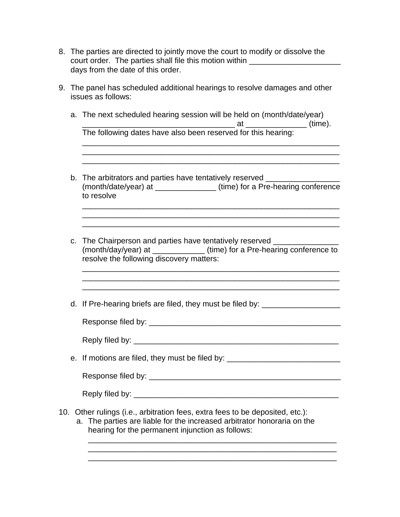- 8. The parties are directed to jointly move the court to modify or dissolve the court order. The parties shall file this motion within **within** with an analyzam and the parties of the state of the state of the state of the state of the state of the state of the state of the state of the state of the s days from the date of this order.
- 9. The panel has scheduled additional hearings to resolve damages and other issues as follows:
	- a. The next scheduled hearing session will be held on (month/date/year) \_\_\_\_\_\_\_\_\_\_\_\_\_\_\_\_\_\_\_\_\_\_\_\_\_\_\_\_\_\_\_\_\_\_\_ at \_\_\_\_\_\_\_\_\_\_\_\_\_\_ (time). The following dates have also been reserved for this hearing:
	- b. The arbitrators and parties have tentatively reserved \_\_\_\_\_\_\_\_\_\_\_\_\_\_\_\_\_\_\_\_\_\_\_ (month/date/year) at \_\_\_\_\_\_\_\_\_\_\_\_\_\_ (time) for a Pre-hearing conference to resolve

\_\_\_\_\_\_\_\_\_\_\_\_\_\_\_\_\_\_\_\_\_\_\_\_\_\_\_\_\_\_\_\_\_\_\_\_\_\_\_\_\_\_\_\_\_\_\_\_\_\_\_\_\_\_\_\_\_\_\_ \_\_\_\_\_\_\_\_\_\_\_\_\_\_\_\_\_\_\_\_\_\_\_\_\_\_\_\_\_\_\_\_\_\_\_\_\_\_\_\_\_\_\_\_\_\_\_\_\_\_\_\_\_\_\_\_\_\_\_ \_\_\_\_\_\_\_\_\_\_\_\_\_\_\_\_\_\_\_\_\_\_\_\_\_\_\_\_\_\_\_\_\_\_\_\_\_\_\_\_\_\_\_\_\_\_\_\_\_\_\_\_\_\_\_\_\_\_\_

\_\_\_\_\_\_\_\_\_\_\_\_\_\_\_\_\_\_\_\_\_\_\_\_\_\_\_\_\_\_\_\_\_\_\_\_\_\_\_\_\_\_\_\_\_\_\_\_\_\_\_\_\_\_\_\_\_\_\_

 $\_$  ,  $\_$  ,  $\_$  ,  $\_$  ,  $\_$  ,  $\_$  ,  $\_$  ,  $\_$  ,  $\_$  ,  $\_$  ,  $\_$  ,  $\_$  ,  $\_$  ,  $\_$  ,  $\_$  ,  $\_$  ,  $\_$  ,  $\_$  ,  $\_$  ,  $\_$ 

c. The Chairperson and parties have tentatively reserved (month/day/year) at \_\_\_\_\_\_\_\_\_\_\_\_ (time) for a Pre-hearing conference to resolve the following discovery matters:

\_\_\_\_\_\_\_\_\_\_\_\_\_\_\_\_\_\_\_\_\_\_\_\_\_\_\_\_\_\_\_\_\_\_\_\_\_\_\_\_\_\_\_\_\_\_\_\_\_\_\_\_\_\_\_\_\_\_\_

d. If Pre-hearing briefs are filed, they must be filed by: \_\_\_\_\_\_\_\_\_\_\_\_\_\_\_\_\_\_\_\_\_

| Response filed by: |  |  |
|--------------------|--|--|
|                    |  |  |
| Reply filed by:    |  |  |

e. If motions are filed, they must be filed by: \_\_\_\_\_\_\_\_\_\_\_\_\_\_\_\_\_\_\_\_\_\_\_\_\_\_\_\_\_\_\_\_

Response filed by: \_\_\_\_\_\_\_\_\_\_\_\_\_\_\_\_\_\_\_\_\_\_\_\_\_\_\_\_\_\_\_\_\_\_\_\_\_\_\_\_\_\_\_\_

Reply filed by:  $\blacksquare$ 

- 10. Other rulings (i.e., arbitration fees, extra fees to be deposited, etc.):
	- a. The parties are liable for the increased arbitrator honoraria on the hearing for the permanent injunction as follows:

\_\_\_\_\_\_\_\_\_\_\_\_\_\_\_\_\_\_\_\_\_\_\_\_\_\_\_\_\_\_\_\_\_\_\_\_\_\_\_\_\_\_\_\_\_\_\_\_\_\_\_\_\_\_\_\_\_ \_\_\_\_\_\_\_\_\_\_\_\_\_\_\_\_\_\_\_\_\_\_\_\_\_\_\_\_\_\_\_\_\_\_\_\_\_\_\_\_\_\_\_\_\_\_\_\_\_\_\_\_\_\_\_\_\_ \_\_\_\_\_\_\_\_\_\_\_\_\_\_\_\_\_\_\_\_\_\_\_\_\_\_\_\_\_\_\_\_\_\_\_\_\_\_\_\_\_\_\_\_\_\_\_\_\_\_\_\_\_\_\_\_\_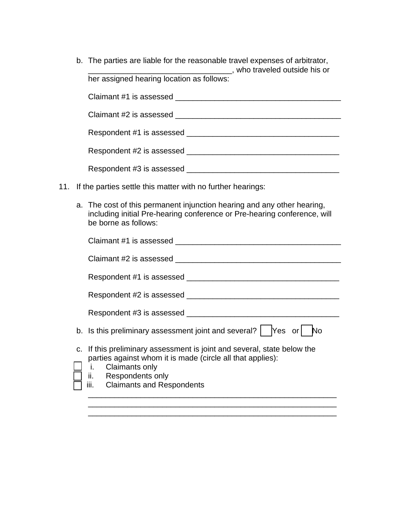| b. The parties are liable for the reasonable travel expenses of arbitrator,<br>sta who traveled outside his or                                                                                                                 |
|--------------------------------------------------------------------------------------------------------------------------------------------------------------------------------------------------------------------------------|
| her assigned hearing location as follows:                                                                                                                                                                                      |
| Claimant #1 is assessed can be a series of the control of the control of the control of the control of the control of the control of the control of the control of the control of the control of the control of the control of |
| Claimant #2 is assessed can be a series of the control of the control of the control of the control of the control of the control of the control of the control of the control of the control of the control of the control of |
|                                                                                                                                                                                                                                |
|                                                                                                                                                                                                                                |
| Respondent #3 is assessed _______                                                                                                                                                                                              |

- 11. If the parties settle this matter with no further hearings:
	- a. The cost of this permanent injunction hearing and any other hearing, including initial Pre-hearing conference or Pre-hearing conference, will be borne as follows:

| Claimant #1 is assessed                                                                                                                                                                                                        |
|--------------------------------------------------------------------------------------------------------------------------------------------------------------------------------------------------------------------------------|
| Claimant #2 is assessed                                                                                                                                                                                                        |
|                                                                                                                                                                                                                                |
|                                                                                                                                                                                                                                |
| Respondent #3 is assessed                                                                                                                                                                                                      |
| b. Is this preliminary assessment joint and several?  <br>Yes or<br>N٥                                                                                                                                                         |
| c. If this preliminary assessment is joint and several, state below the<br>parties against whom it is made (circle all that applies):<br><b>Claimants only</b><br>i.<br>ii. Respondents only<br>iii. Claimants and Respondents |
|                                                                                                                                                                                                                                |

\_\_\_\_\_\_\_\_\_\_\_\_\_\_\_\_\_\_\_\_\_\_\_\_\_\_\_\_\_\_\_\_\_\_\_\_\_\_\_\_\_\_\_\_\_\_\_\_\_\_\_\_\_\_\_\_\_